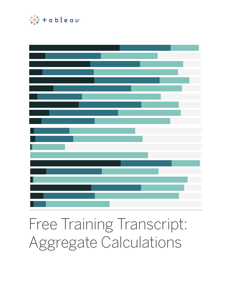

# Free Training Transcript: Aggregate Calculations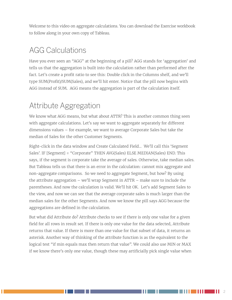Welcome to this video on aggregate calculations. You can download the Exercise workbook to follow along in your own copy of Tableau.

# AGG Calculations

Have you ever seen an "AGG" at the beginning of a pill? AGG stands for 'aggregation' and tells us that the aggregation is built into the calculation rather than performed after the fact. Let's create a profit ratio to see this: Double click in the Columns shelf, and we'll type SUM(Profit)/SUM(Sales), and we'll hit enter. Notice that the pill now begins with AGG instead of SUM. AGG means the aggregation is part of the calculation itself.

# Attribute Aggregation

We know what AGG means, but what about ATTR? This is another common thing seen with aggregate calculations. Let's say we want to aggregate separately for different dimensions values – for example, we want to average Corporate Sales but take the median of Sales for the other Customer Segments.

Right-click in the data window and Create Calculated Field… We'll call this 'Segment Sales'. IF [Segment] = "Corporate" THEN AVG(Sales) ELSE MEDIAN(Sales) END. This says, if the segment is corporate take the average of sales. Otherwise, take median sales. But Tableau tells us that there is an error in the calculation: cannot mix aggregate and non-aggregate comparisons. So we need to aggregate Segment, but how? By using the attribute aggregation – we'll wrap Segment in ATTR – make sure to include the parentheses. And now the calculation is valid. We'll hit OK. Let's add Segment Sales to the view, and now we can see that the average corporate sales is much larger than the median sales for the other Segments. And now we know the pill says AGG because the aggregations are defined in the calculation.

But what did Attribute do? Attribute checks to see if there is only one value for a given field for all rows in result set. If there is only one value for the data selected, Attribute returns that value. If there is more than one value for that subset of data, it returns an asterisk. Another way of thinking of the attribute function is as the equivalent to the logical test "if min equals max then return that value". We could also use MIN or MAX if we know there's only one value, though these may artificially pick single value when